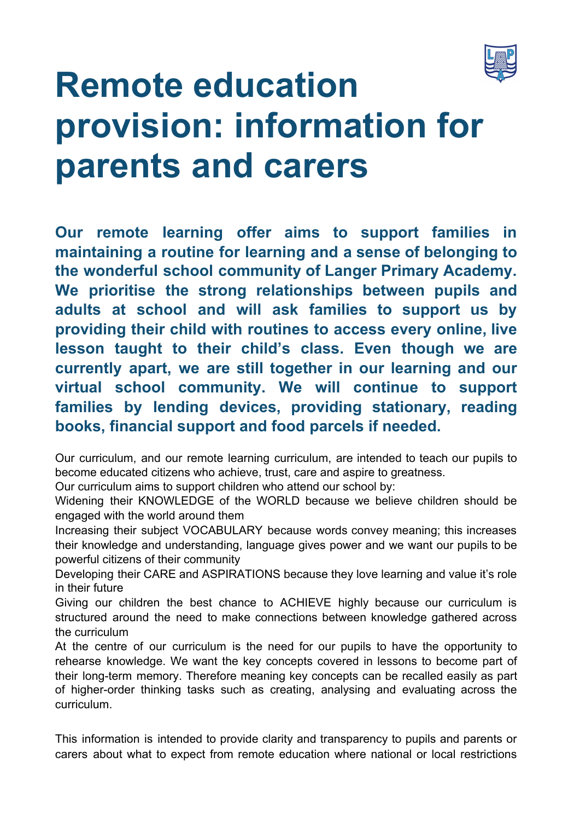

# **Remote education provision: information for parents and carers**

**Our remote learning offer aims to support families in maintaining a routine for learning and a sense of belonging to the wonderful school community of Langer Primary Academy. We prioritise the strong relationships between pupils and adults at school and will ask families to support us by providing their child with routines to access every online, live lesson taught to their child's class. Even though we are currently apart, we are still together in our learning and our virtual school community. We will continue to support families by lending devices, providing stationary, reading books, financial support and food parcels if needed.**

Our curriculum, and our remote learning curriculum, are intended to teach our pupils to become educated citizens who achieve, trust, care and aspire to greatness.

Our curriculum aims to support children who attend our school by:

Widening their KNOWLEDGE of the WORLD because we believe children should be engaged with the world around them

Increasing their subject VOCABULARY because words convey meaning; this increases their knowledge and understanding, language gives power and we want our pupils to be powerful citizens of their community

Developing their CARE and ASPIRATIONS because they love learning and value it's role in their future

Giving our children the best chance to ACHIEVE highly because our curriculum is structured around the need to make connections between knowledge gathered across the curriculum

At the centre of our curriculum is the need for our pupils to have the opportunity to rehearse knowledge. We want the key concepts covered in lessons to become part of their long-term memory. Therefore meaning key concepts can be recalled easily as part of higher-order thinking tasks such as creating, analysing and evaluating across the curriculum.

This information is intended to provide clarity and transparency to pupils and parents or carers about what to expect from remote education where national or local restrictions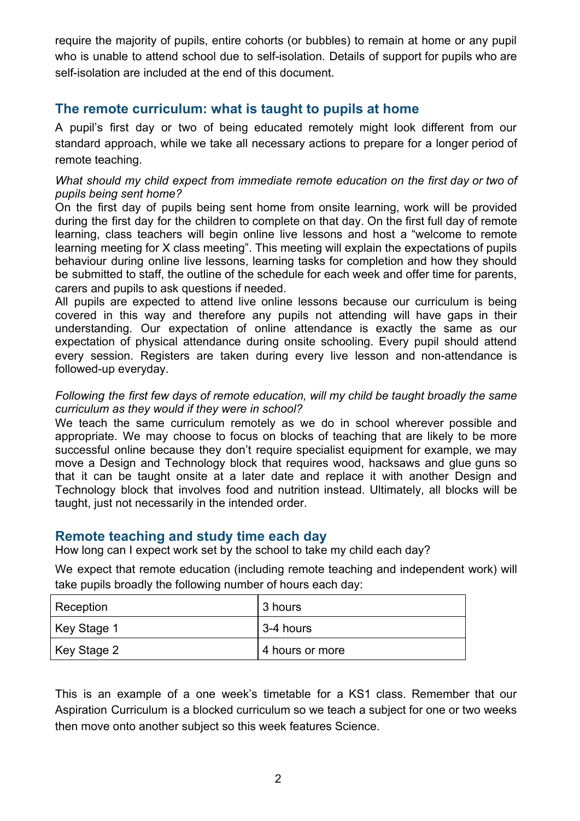require the majority of pupils, entire cohorts (or bubbles) to remain at home or any pupil who is unable to attend school due to self-isolation. Details of support for pupils who are self-isolation are included at the end of this document.

# **The remote curriculum: what is taught to pupils at home**

A pupil's first day or two of being educated remotely might look different from our standard approach, while we take all necessary actions to prepare for a longer period of remote teaching.

#### *What should my child expect from immediate remote education on the first day or two of pupils being sent home?*

On the first day of pupils being sent home from onsite learning, work will be provided during the first day for the children to complete on that day. On the first full day of remote learning, class teachers will begin online live lessons and host a "welcome to remote learning meeting for X class meeting". This meeting will explain the expectations of pupils behaviour during online live lessons, learning tasks for completion and how they should be submitted to staff, the outline of the schedule for each week and offer time for parents, carers and pupils to ask questions if needed.

All pupils are expected to attend live online lessons because our curriculum is being covered in this way and therefore any pupils not attending will have gaps in their understanding. Our expectation of online attendance is exactly the same as our expectation of physical attendance during onsite schooling. Every pupil should attend every session. Registers are taken during every live lesson and non-attendance is followed-up everyday.

*Following the first few days of remote education, will my child be taught broadly the same curriculum as they would if they were in school?*

We teach the same curriculum remotely as we do in school wherever possible and appropriate. We may choose to focus on blocks of teaching that are likely to be more successful online because they don't require specialist equipment for example, we may move a Design and Technology block that requires wood, hacksaws and glue guns so that it can be taught onsite at a later date and replace it with another Design and Technology block that involves food and nutrition instead. Ultimately, all blocks will be taught, just not necessarily in the intended order.

# **Remote teaching and study time each day**

How long can I expect work set by the school to take my child each day?

We expect that remote education (including remote teaching and independent work) will take pupils broadly the following number of hours each day:

| Reception   | 3 hours         |
|-------------|-----------------|
| Key Stage 1 | 3-4 hours       |
| Key Stage 2 | 4 hours or more |

This is an example of a one week's timetable for a KS1 class. Remember that our Aspiration Curriculum is a blocked curriculum so we teach a subject for one or two weeks then move onto another subject so this week features Science.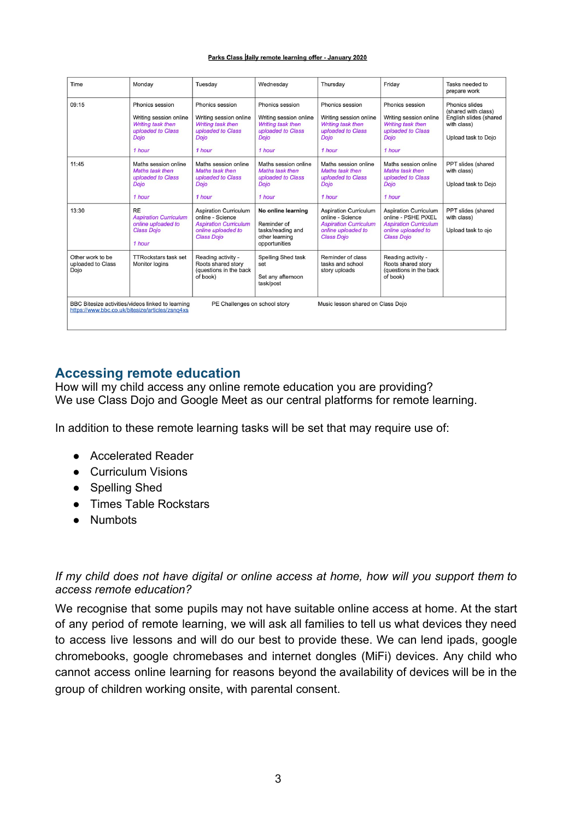#### Parks Class daily remote learning offer - January 2020

| Time                                                                                                                                                                       | Monday                                                                                                       | Tuesday                                                                                                                     | Wednesdav                                                                                                    | Thursday                                                                                                                    | Friday                                                                                                                         | Tasks needed to<br>prepare work                                                                       |  |
|----------------------------------------------------------------------------------------------------------------------------------------------------------------------------|--------------------------------------------------------------------------------------------------------------|-----------------------------------------------------------------------------------------------------------------------------|--------------------------------------------------------------------------------------------------------------|-----------------------------------------------------------------------------------------------------------------------------|--------------------------------------------------------------------------------------------------------------------------------|-------------------------------------------------------------------------------------------------------|--|
| 09:15                                                                                                                                                                      | Phonics session<br>Writing session online<br>Writing task then<br>uploaded to Class<br><b>Dojo</b><br>1 hour | Phonics session<br>Writing session online<br>Writing task then<br>uploaded to Class<br><b>Dojo</b><br>1 hour                | Phonics session<br>Writing session online<br>Writing task then<br>uploaded to Class<br><b>Dojo</b><br>1 hour | Phonics session<br>Writing session online<br>Writing task then<br>uploaded to Class<br><b>Dojo</b><br>1 hour                | Phonics session<br>Writing session online<br>Writing task then<br>uploaded to Class<br><b>Dojo</b><br>1 hour                   | Phonics slides<br>(shared with class)<br>English slides (shared<br>with class)<br>Upload task to Dojo |  |
| 11:45                                                                                                                                                                      | Maths session online<br>Maths task then<br>uploaded to Class<br>Dojo<br>1 hour                               | Maths session online<br>Maths task then<br>uploaded to Class<br><b>Doio</b><br>1 hour                                       | Maths session online<br>Maths task then<br>uploaded to Class<br><b>Doio</b><br>1 hour                        | Maths session online<br>Maths task then<br>uploaded to Class<br><b>Dojo</b><br>1 hour                                       | Maths session online<br>Maths task then<br>uploaded to Class<br><b>Dojo</b><br>1 hour                                          | PPT slides (shared<br>with class)<br>Upload task to Dojo                                              |  |
| 13:30                                                                                                                                                                      | <b>RE</b><br><b>Aspiration Curriculum</b><br>online uploaded to<br><b>Class Dojo</b><br>1 hour               | <b>Aspiration Curriculum</b><br>online - Science<br><b>Aspiration Curriculum</b><br>online uploaded to<br><b>Class Dojo</b> | No online learning<br>Reminder of<br>tasks/reading and<br>other learning<br>opportunities                    | <b>Aspiration Curriculum</b><br>online - Science<br><b>Aspiration Curriculum</b><br>online uploaded to<br><b>Class Dojo</b> | <b>Aspiration Curriculum</b><br>online - PSHE PiXEL<br><b>Aspiration Curriculum</b><br>online uploaded to<br><b>Class Dojo</b> | PPT slides (shared<br>with class)<br>Upload task to ojo                                               |  |
| Other work to be<br>uploaded to Class<br>Dojo                                                                                                                              | <b>TTRockstars task set</b><br>Monitor logins                                                                | Reading activity -<br>Roots shared story<br>(questions in the back<br>of book)                                              | Spelling Shed task<br>set<br>Set any afternoon<br>task/post                                                  | Reminder of class<br>tasks and school<br>story uploads                                                                      | Reading activity -<br>Roots shared story<br>(questions in the back<br>of book)                                                 |                                                                                                       |  |
| BBC Bitesize activities/videos linked to learning<br>PE Challenges on school story<br>Music lesson shared on Class Dojo<br>https://www.bbc.co.uk/bitesize/articles/zsnq4xs |                                                                                                              |                                                                                                                             |                                                                                                              |                                                                                                                             |                                                                                                                                |                                                                                                       |  |

# **Accessing remote education**

How will my child access any online remote education you are providing? We use Class Dojo and Google Meet as our central platforms for remote learning.

In addition to these remote learning tasks will be set that may require use of:

- Accelerated Reader
- Curriculum Visions
- Spelling Shed
- Times Table Rockstars
- Numbots

#### *If my child does not have digital or online access at home, how will you support them to access remote education?*

We recognise that some pupils may not have suitable online access at home. At the start of any period of remote learning, we will ask all families to tell us what devices they need to access live lessons and will do our best to provide these. We can lend ipads, google chromebooks, google chromebases and internet dongles (MiFi) devices. Any child who cannot access online learning for reasons beyond the availability of devices will be in the group of children working onsite, with parental consent.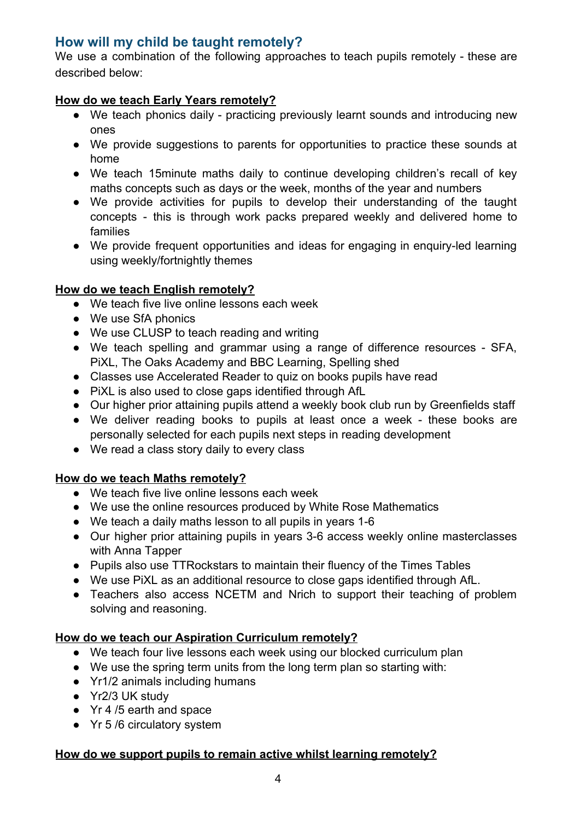# **How will my child be taught remotely?**

We use a combination of the following approaches to teach pupils remotely - these are described below:

### **How do we teach Early Years remotely?**

- We teach phonics daily practicing previously learnt sounds and introducing new ones
- We provide suggestions to parents for opportunities to practice these sounds at home
- We teach 15minute maths daily to continue developing children's recall of key maths concepts such as days or the week, months of the year and numbers
- We provide activities for pupils to develop their understanding of the taught concepts - this is through work packs prepared weekly and delivered home to families
- We provide frequent opportunities and ideas for engaging in enquiry-led learning using weekly/fortnightly themes

### **How do we teach English remotely?**

- We teach five live online lessons each week
- We use SfA phonics
- We use CLUSP to teach reading and writing
- We teach spelling and grammar using a range of difference resources SFA, PiXL, The Oaks Academy and BBC Learning, Spelling shed
- Classes use Accelerated Reader to quiz on books pupils have read
- PiXL is also used to close gaps identified through AfL
- Our higher prior attaining pupils attend a weekly book club run by Greenfields staff
- We deliver reading books to pupils at least once a week these books are personally selected for each pupils next steps in reading development
- We read a class story daily to every class

# **How do we teach Maths remotely?**

- We teach five live online lessons each week
- We use the online resources produced by White Rose Mathematics
- We teach a daily maths lesson to all pupils in years 1-6
- Our higher prior attaining pupils in years 3-6 access weekly online masterclasses with Anna Tapper
- Pupils also use TTRockstars to maintain their fluency of the Times Tables
- We use PiXL as an additional resource to close gaps identified through AfL.
- Teachers also access NCETM and Nrich to support their teaching of problem solving and reasoning.

#### **How do we teach our Aspiration Curriculum remotely?**

- We teach four live lessons each week using our blocked curriculum plan
- We use the spring term units from the long term plan so starting with:
- Yr1/2 animals including humans
- Yr2/3 UK study
- Yr 4 /5 earth and space
- Yr 5 /6 circulatory system

#### **How do we support pupils to remain active whilst learning remotely?**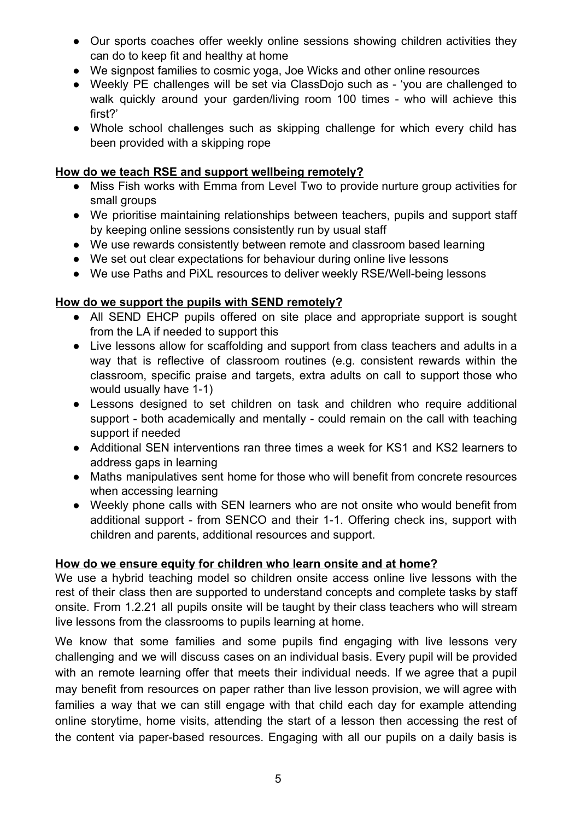- Our sports coaches offer weekly online sessions showing children activities they can do to keep fit and healthy at home
- We signpost families to cosmic yoga, Joe Wicks and other online resources
- Weekly PE challenges will be set via ClassDojo such as 'you are challenged to walk quickly around your garden/living room 100 times - who will achieve this first?'
- Whole school challenges such as skipping challenge for which every child has been provided with a skipping rope

### **How do we teach RSE and support wellbeing remotely?**

- Miss Fish works with Emma from Level Two to provide nurture group activities for small groups
- We prioritise maintaining relationships between teachers, pupils and support staff by keeping online sessions consistently run by usual staff
- We use rewards consistently between remote and classroom based learning
- We set out clear expectations for behaviour during online live lessons
- We use Paths and PiXL resources to deliver weekly RSE/Well-being lessons

### **How do we support the pupils with SEND remotely?**

- All SEND EHCP pupils offered on site place and appropriate support is sought from the LA if needed to support this
- Live lessons allow for scaffolding and support from class teachers and adults in a way that is reflective of classroom routines (e.g. consistent rewards within the classroom, specific praise and targets, extra adults on call to support those who would usually have 1-1)
- Lessons designed to set children on task and children who require additional support - both academically and mentally - could remain on the call with teaching support if needed
- Additional SEN interventions ran three times a week for KS1 and KS2 learners to address gaps in learning
- Maths manipulatives sent home for those who will benefit from concrete resources when accessing learning
- Weekly phone calls with SEN learners who are not onsite who would benefit from additional support - from SENCO and their 1-1. Offering check ins, support with children and parents, additional resources and support.

# **How do we ensure equity for children who learn onsite and at home?**

We use a hybrid teaching model so children onsite access online live lessons with the rest of their class then are supported to understand concepts and complete tasks by staff onsite. From 1.2.21 all pupils onsite will be taught by their class teachers who will stream live lessons from the classrooms to pupils learning at home.

We know that some families and some pupils find engaging with live lessons very challenging and we will discuss cases on an individual basis. Every pupil will be provided with an remote learning offer that meets their individual needs. If we agree that a pupil may benefit from resources on paper rather than live lesson provision, we will agree with families a way that we can still engage with that child each day for example attending online storytime, home visits, attending the start of a lesson then accessing the rest of the content via paper-based resources. Engaging with all our pupils on a daily basis is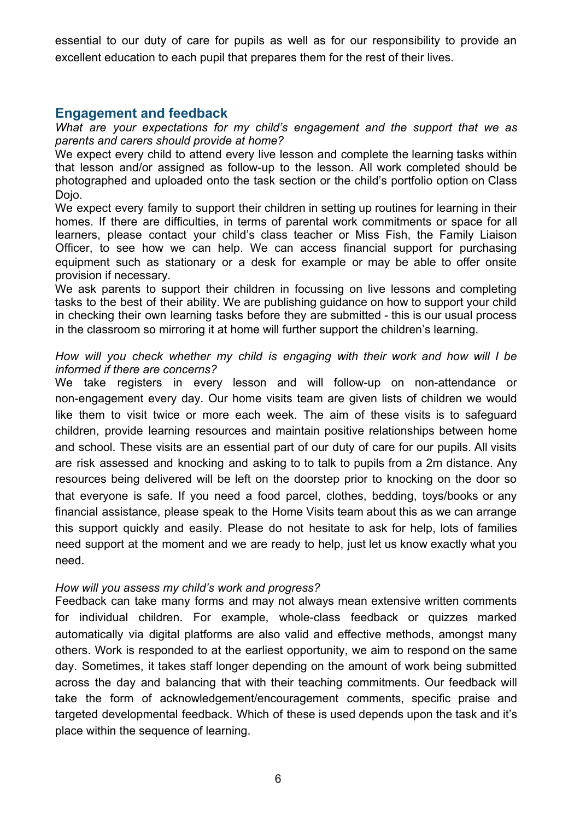essential to our duty of care for pupils as well as for our responsibility to provide an excellent education to each pupil that prepares them for the rest of their lives.

### **Engagement and feedback**

*What are your expectations for my child's engagement and the support that we as parents and carers should provide at home?*

We expect every child to attend every live lesson and complete the learning tasks within that lesson and/or assigned as follow-up to the lesson. All work completed should be photographed and uploaded onto the task section or the child's portfolio option on Class Doio.

We expect every family to support their children in setting up routines for learning in their homes. If there are difficulties, in terms of parental work commitments or space for all learners, please contact your child's class teacher or Miss Fish, the Family Liaison Officer, to see how we can help. We can access financial support for purchasing equipment such as stationary or a desk for example or may be able to offer onsite provision if necessary.

We ask parents to support their children in focussing on live lessons and completing tasks to the best of their ability. We are publishing guidance on how to support your child in checking their own learning tasks before they are submitted - this is our usual process in the classroom so mirroring it at home will further support the children's learning.

#### *How will you check whether my child is engaging with their work and how will I be informed if there are concerns?*

We take registers in every lesson and will follow-up on non-attendance or non-engagement every day. Our home visits team are given lists of children we would like them to visit twice or more each week. The aim of these visits is to safeguard children, provide learning resources and maintain positive relationships between home and school. These visits are an essential part of our duty of care for our pupils. All visits are risk assessed and knocking and asking to to talk to pupils from a 2m distance. Any resources being delivered will be left on the doorstep prior to knocking on the door so that everyone is safe. If you need a food parcel, clothes, bedding, toys/books or any financial assistance, please speak to the Home Visits team about this as we can arrange this support quickly and easily. Please do not hesitate to ask for help, lots of families need support at the moment and we are ready to help, just let us know exactly what you need.

#### *How will you assess my child's work and progress?*

Feedback can take many forms and may not always mean extensive written comments for individual children. For example, whole-class feedback or quizzes marked automatically via digital platforms are also valid and effective methods, amongst many others. Work is responded to at the earliest opportunity, we aim to respond on the same day. Sometimes, it takes staff longer depending on the amount of work being submitted across the day and balancing that with their teaching commitments. Our feedback will take the form of acknowledgement/encouragement comments, specific praise and targeted developmental feedback. Which of these is used depends upon the task and it's place within the sequence of learning.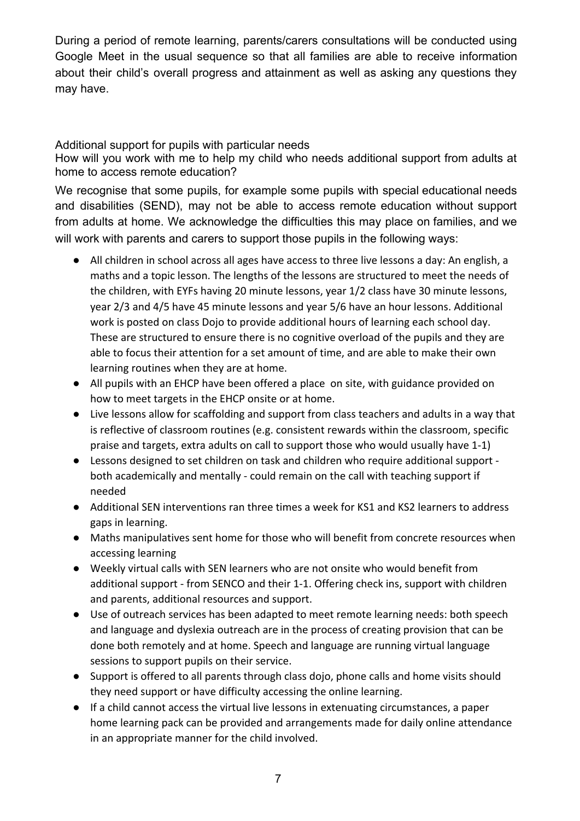During a period of remote learning, parents/carers consultations will be conducted using Google Meet in the usual sequence so that all families are able to receive information about their child's overall progress and attainment as well as asking any questions they may have.

#### Additional support for pupils with particular needs

How will you work with me to help my child who needs additional support from adults at home to access remote education?

We recognise that some pupils, for example some pupils with special educational needs and disabilities (SEND), may not be able to access remote education without support from adults at home. We acknowledge the difficulties this may place on families, and we will work with parents and carers to support those pupils in the following ways:

- All children in school across all ages have access to three live lessons a day: An english, a maths and a topic lesson. The lengths of the lessons are structured to meet the needs of the children, with EYFs having 20 minute lessons, year 1/2 class have 30 minute lessons, year 2/3 and 4/5 have 45 minute lessons and year 5/6 have an hour lessons. Additional work is posted on class Dojo to provide additional hours of learning each school day. These are structured to ensure there is no cognitive overload of the pupils and they are able to focus their attention for a set amount of time, and are able to make their own learning routines when they are at home.
- All pupils with an EHCP have been offered a place on site, with guidance provided on how to meet targets in the EHCP onsite or at home.
- Live lessons allow for scaffolding and support from class teachers and adults in a way that is reflective of classroom routines (e.g. consistent rewards within the classroom, specific praise and targets, extra adults on call to support those who would usually have 1-1)
- Lessons designed to set children on task and children who require additional support both academically and mentally - could remain on the call with teaching support if needed
- Additional SEN interventions ran three times a week for KS1 and KS2 learners to address gaps in learning.
- Maths manipulatives sent home for those who will benefit from concrete resources when accessing learning
- Weekly virtual calls with SEN learners who are not onsite who would benefit from additional support - from SENCO and their 1-1. Offering check ins, support with children and parents, additional resources and support.
- Use of outreach services has been adapted to meet remote learning needs: both speech and language and dyslexia outreach are in the process of creating provision that can be done both remotely and at home. Speech and language are running virtual language sessions to support pupils on their service.
- Support is offered to all parents through class dojo, phone calls and home visits should they need support or have difficulty accessing the online learning.
- If a child cannot access the virtual live lessons in extenuating circumstances, a paper home learning pack can be provided and arrangements made for daily online attendance in an appropriate manner for the child involved.